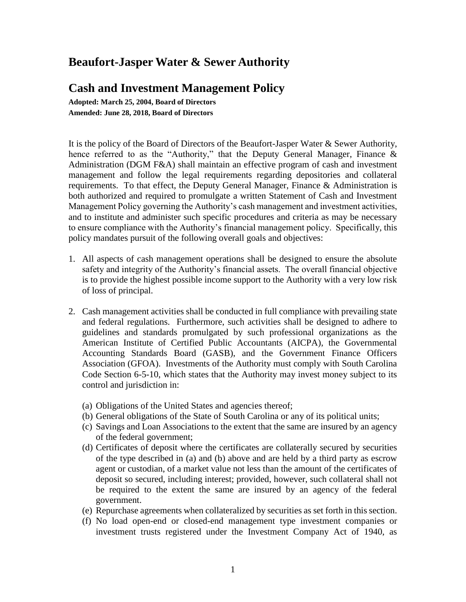# **Beaufort-Jasper Water & Sewer Authority**

# **Cash and Investment Management Policy**

**Adopted: March 25, 2004, Board of Directors Amended: June 28, 2018, Board of Directors**

It is the policy of the Board of Directors of the Beaufort-Jasper Water & Sewer Authority, hence referred to as the "Authority," that the Deputy General Manager, Finance & Administration (DGM F&A) shall maintain an effective program of cash and investment management and follow the legal requirements regarding depositories and collateral requirements. To that effect, the Deputy General Manager, Finance & Administration is both authorized and required to promulgate a written Statement of Cash and Investment Management Policy governing the Authority's cash management and investment activities, and to institute and administer such specific procedures and criteria as may be necessary to ensure compliance with the Authority's financial management policy. Specifically, this policy mandates pursuit of the following overall goals and objectives:

- 1. All aspects of cash management operations shall be designed to ensure the absolute safety and integrity of the Authority's financial assets. The overall financial objective is to provide the highest possible income support to the Authority with a very low risk of loss of principal.
- 2. Cash management activities shall be conducted in full compliance with prevailing state and federal regulations. Furthermore, such activities shall be designed to adhere to guidelines and standards promulgated by such professional organizations as the American Institute of Certified Public Accountants (AICPA), the Governmental Accounting Standards Board (GASB), and the Government Finance Officers Association (GFOA). Investments of the Authority must comply with South Carolina Code Section 6-5-10, which states that the Authority may invest money subject to its control and jurisdiction in:
	- (a) Obligations of the United States and agencies thereof;
	- (b) General obligations of the State of South Carolina or any of its political units;
	- (c) Savings and Loan Associations to the extent that the same are insured by an agency of the federal government;
	- (d) Certificates of deposit where the certificates are collaterally secured by securities of the type described in (a) and (b) above and are held by a third party as escrow agent or custodian, of a market value not less than the amount of the certificates of deposit so secured, including interest; provided, however, such collateral shall not be required to the extent the same are insured by an agency of the federal government.
	- (e) Repurchase agreements when collateralized by securities as set forth in this section.
	- (f) No load open-end or closed-end management type investment companies or investment trusts registered under the Investment Company Act of 1940, as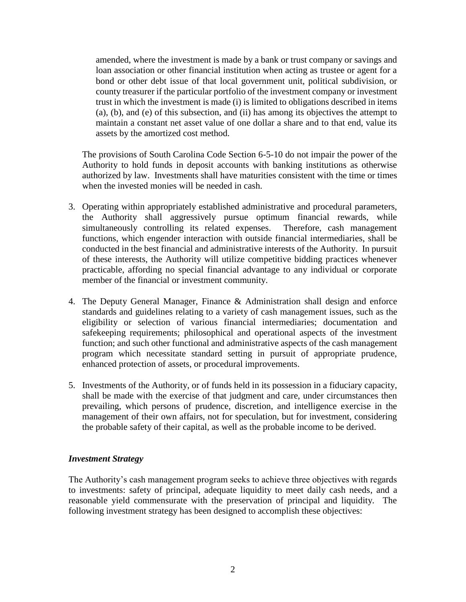amended, where the investment is made by a bank or trust company or savings and loan association or other financial institution when acting as trustee or agent for a bond or other debt issue of that local government unit, political subdivision, or county treasurer if the particular portfolio of the investment company or investment trust in which the investment is made (i) is limited to obligations described in items (a), (b), and (e) of this subsection, and (ii) has among its objectives the attempt to maintain a constant net asset value of one dollar a share and to that end, value its assets by the amortized cost method.

The provisions of South Carolina Code Section 6-5-10 do not impair the power of the Authority to hold funds in deposit accounts with banking institutions as otherwise authorized by law. Investments shall have maturities consistent with the time or times when the invested monies will be needed in cash.

- 3. Operating within appropriately established administrative and procedural parameters, the Authority shall aggressively pursue optimum financial rewards, while simultaneously controlling its related expenses. Therefore, cash management functions, which engender interaction with outside financial intermediaries, shall be conducted in the best financial and administrative interests of the Authority. In pursuit of these interests, the Authority will utilize competitive bidding practices whenever practicable, affording no special financial advantage to any individual or corporate member of the financial or investment community.
- 4. The Deputy General Manager, Finance & Administration shall design and enforce standards and guidelines relating to a variety of cash management issues, such as the eligibility or selection of various financial intermediaries; documentation and safekeeping requirements; philosophical and operational aspects of the investment function; and such other functional and administrative aspects of the cash management program which necessitate standard setting in pursuit of appropriate prudence, enhanced protection of assets, or procedural improvements.
- 5. Investments of the Authority, or of funds held in its possession in a fiduciary capacity, shall be made with the exercise of that judgment and care, under circumstances then prevailing, which persons of prudence, discretion, and intelligence exercise in the management of their own affairs, not for speculation, but for investment, considering the probable safety of their capital, as well as the probable income to be derived.

#### *Investment Strategy*

The Authority's cash management program seeks to achieve three objectives with regards to investments: safety of principal, adequate liquidity to meet daily cash needs, and a reasonable yield commensurate with the preservation of principal and liquidity. The following investment strategy has been designed to accomplish these objectives: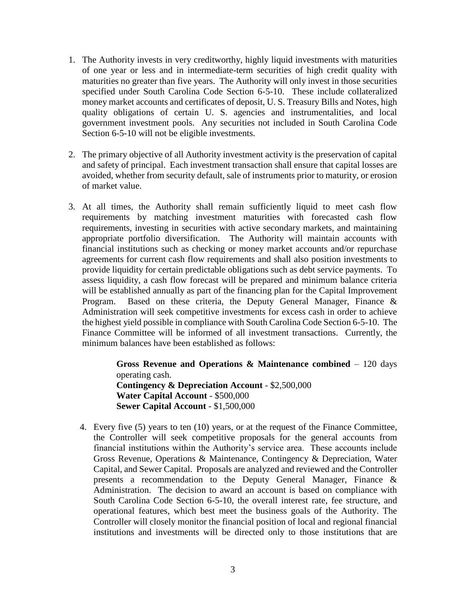- 1. The Authority invests in very creditworthy, highly liquid investments with maturities of one year or less and in intermediate-term securities of high credit quality with maturities no greater than five years. The Authority will only invest in those securities specified under South Carolina Code Section 6-5-10. These include collateralized money market accounts and certificates of deposit, U. S. Treasury Bills and Notes, high quality obligations of certain U. S. agencies and instrumentalities, and local government investment pools. Any securities not included in South Carolina Code Section 6-5-10 will not be eligible investments.
- 2. The primary objective of all Authority investment activity is the preservation of capital and safety of principal. Each investment transaction shall ensure that capital losses are avoided, whether from security default, sale of instruments prior to maturity, or erosion of market value.
- 3. At all times, the Authority shall remain sufficiently liquid to meet cash flow requirements by matching investment maturities with forecasted cash flow requirements, investing in securities with active secondary markets, and maintaining appropriate portfolio diversification. The Authority will maintain accounts with financial institutions such as checking or money market accounts and/or repurchase agreements for current cash flow requirements and shall also position investments to provide liquidity for certain predictable obligations such as debt service payments. To assess liquidity, a cash flow forecast will be prepared and minimum balance criteria will be established annually as part of the financing plan for the Capital Improvement Program. Based on these criteria, the Deputy General Manager, Finance & Administration will seek competitive investments for excess cash in order to achieve the highest yield possible in compliance with South Carolina Code Section 6-5-10. The Finance Committee will be informed of all investment transactions. Currently, the minimum balances have been established as follows:

**Gross Revenue and Operations & Maintenance combined** – 120 days operating cash. **Contingency & Depreciation Account** - \$2,500,000 **Water Capital Account** - \$500,000 **Sewer Capital Account** - \$1,500,000

4. Every five (5) years to ten (10) years, or at the request of the Finance Committee, the Controller will seek competitive proposals for the general accounts from financial institutions within the Authority's service area. These accounts include Gross Revenue, Operations & Maintenance, Contingency & Depreciation, Water Capital, and Sewer Capital. Proposals are analyzed and reviewed and the Controller presents a recommendation to the Deputy General Manager, Finance & Administration. The decision to award an account is based on compliance with South Carolina Code Section 6-5-10, the overall interest rate, fee structure, and operational features, which best meet the business goals of the Authority. The Controller will closely monitor the financial position of local and regional financial institutions and investments will be directed only to those institutions that are